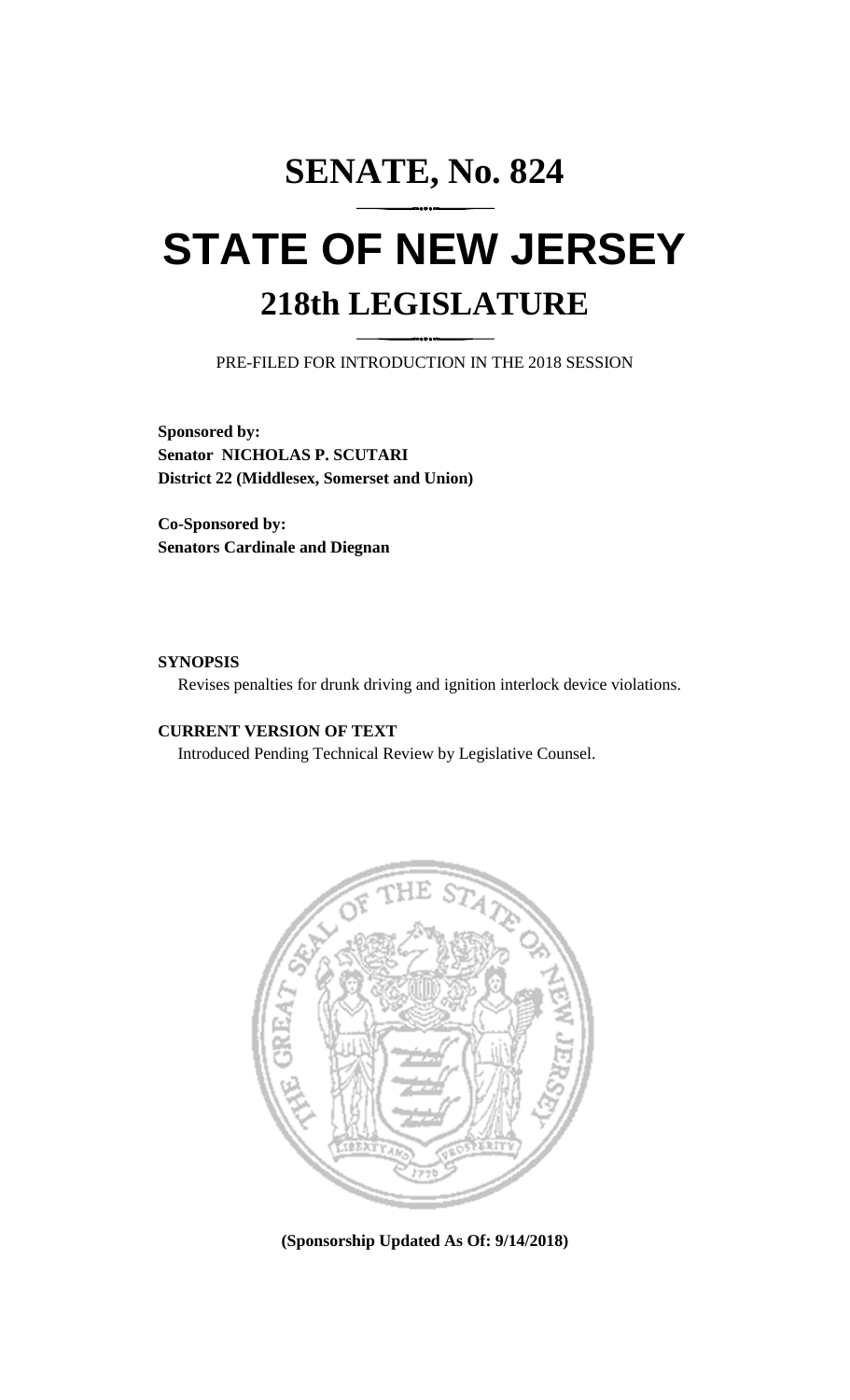# **SENATE, No. 824 STATE OF NEW JERSEY 218th LEGISLATURE**

PRE-FILED FOR INTRODUCTION IN THE 2018 SESSION

**Sponsored by: Senator NICHOLAS P. SCUTARI District 22 (Middlesex, Somerset and Union)**

**Co-Sponsored by: Senators Cardinale and Diegnan**

### **SYNOPSIS**

Revises penalties for drunk driving and ignition interlock device violations.

### **CURRENT VERSION OF TEXT**

Introduced Pending Technical Review by Legislative Counsel.



**(Sponsorship Updated As Of: 9/14/2018)**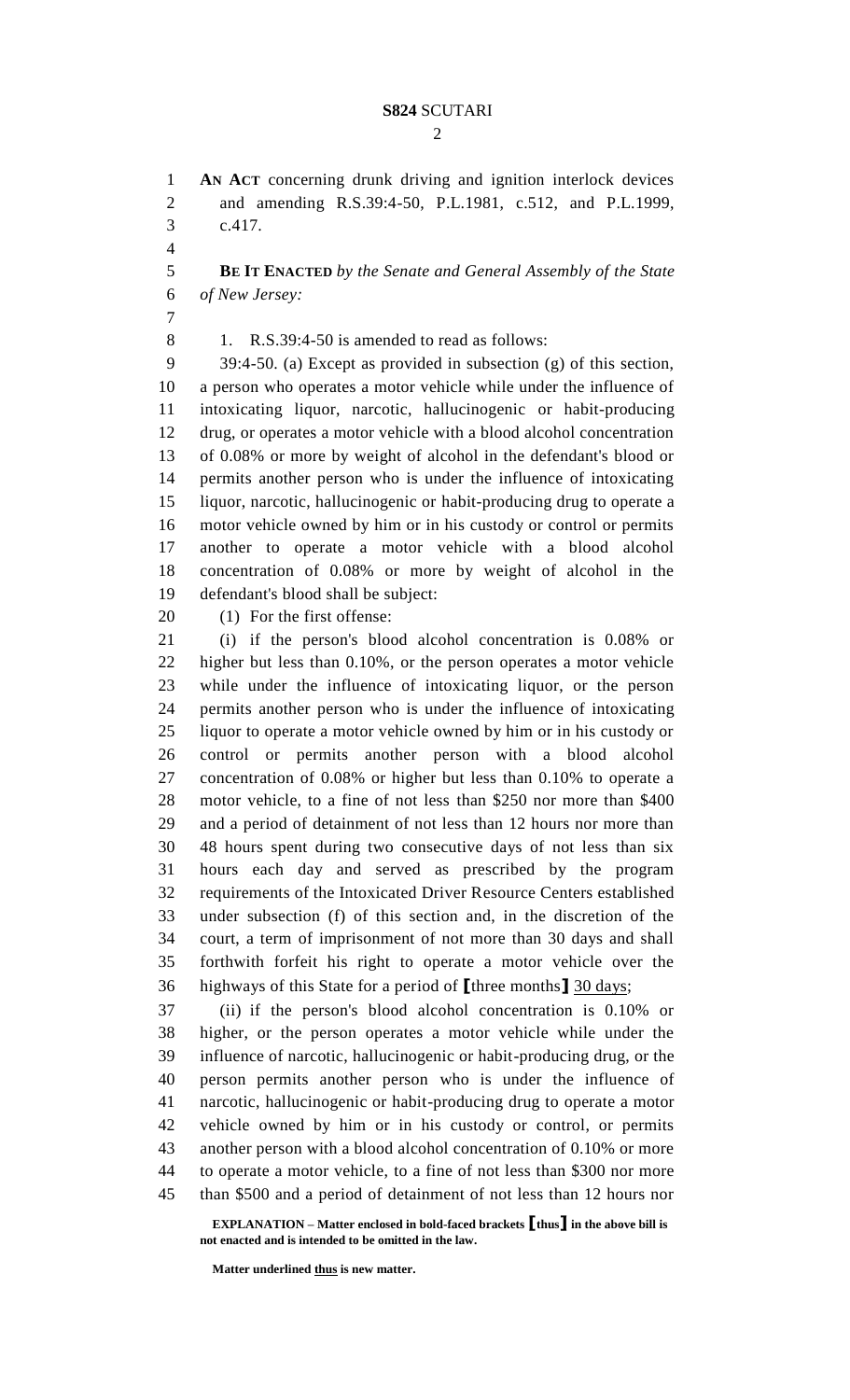$\mathcal{D}_{\mathcal{L}}$ 

 **AN ACT** concerning drunk driving and ignition interlock devices and amending R.S.39:4-50, P.L.1981, c.512, and P.L.1999, c.417.

 **BE IT ENACTED** *by the Senate and General Assembly of the State of New Jersey:*

1. R.S.39:4-50 is amended to read as follows:

 39:4-50. (a) Except as provided in subsection (g) of this section, a person who operates a motor vehicle while under the influence of intoxicating liquor, narcotic, hallucinogenic or habit-producing drug, or operates a motor vehicle with a blood alcohol concentration of 0.08% or more by weight of alcohol in the defendant's blood or permits another person who is under the influence of intoxicating liquor, narcotic, hallucinogenic or habit-producing drug to operate a motor vehicle owned by him or in his custody or control or permits another to operate a motor vehicle with a blood alcohol concentration of 0.08% or more by weight of alcohol in the defendant's blood shall be subject:

(1) For the first offense:

 (i) if the person's blood alcohol concentration is 0.08% or higher but less than 0.10%, or the person operates a motor vehicle while under the influence of intoxicating liquor, or the person permits another person who is under the influence of intoxicating liquor to operate a motor vehicle owned by him or in his custody or control or permits another person with a blood alcohol concentration of 0.08% or higher but less than 0.10% to operate a motor vehicle, to a fine of not less than \$250 nor more than \$400 and a period of detainment of not less than 12 hours nor more than 48 hours spent during two consecutive days of not less than six hours each day and served as prescribed by the program requirements of the Intoxicated Driver Resource Centers established under subsection (f) of this section and, in the discretion of the court, a term of imprisonment of not more than 30 days and shall forthwith forfeit his right to operate a motor vehicle over the highways of this State for a period of **[**three months**]** 30 days;

 (ii) if the person's blood alcohol concentration is 0.10% or higher, or the person operates a motor vehicle while under the influence of narcotic, hallucinogenic or habit-producing drug, or the person permits another person who is under the influence of narcotic, hallucinogenic or habit-producing drug to operate a motor vehicle owned by him or in his custody or control, or permits another person with a blood alcohol concentration of 0.10% or more to operate a motor vehicle, to a fine of not less than \$300 nor more than \$500 and a period of detainment of not less than 12 hours nor

**EXPLANATION – Matter enclosed in bold-faced brackets [thus] in the above bill is not enacted and is intended to be omitted in the law.**

**Matter underlined thus is new matter.**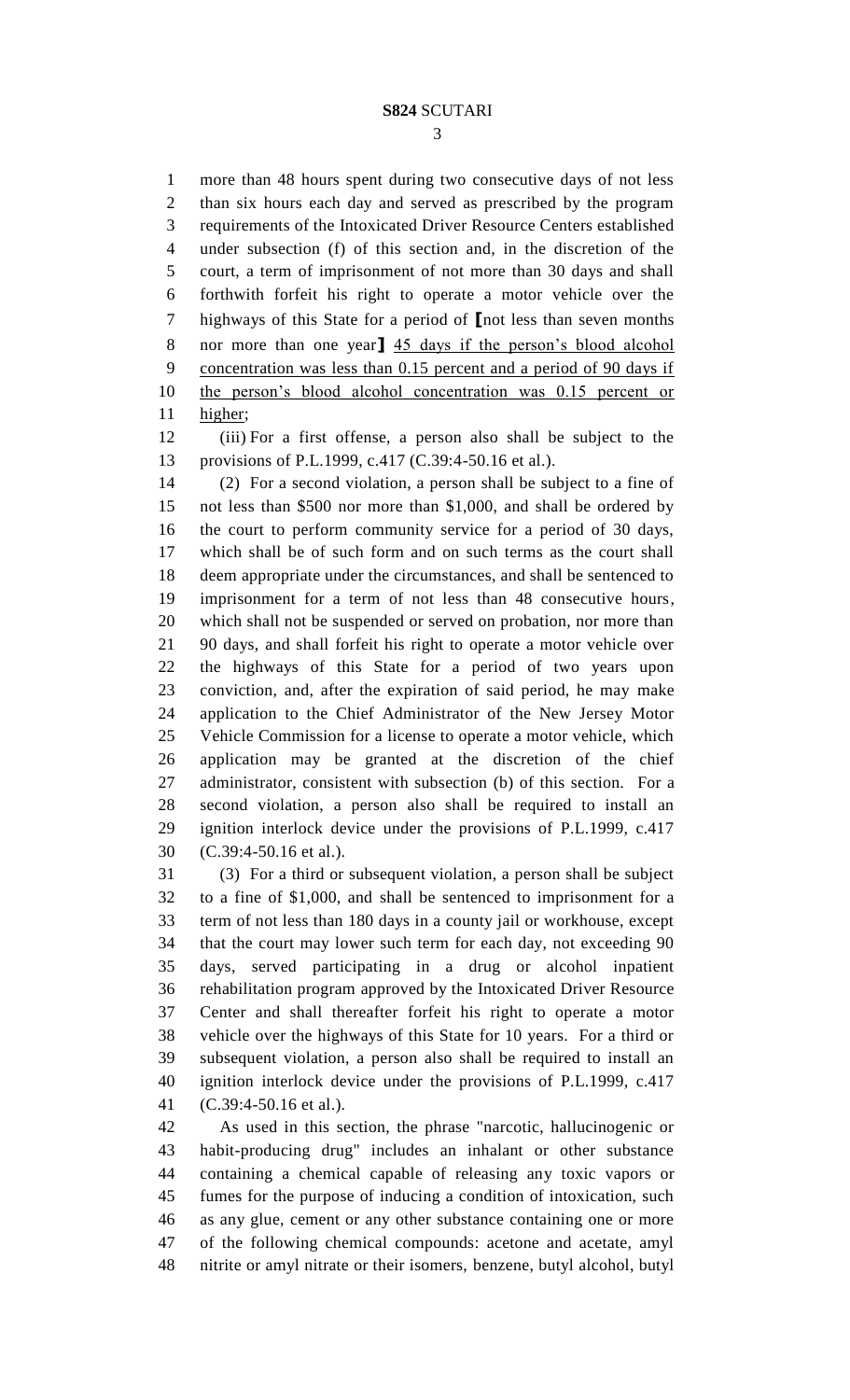more than 48 hours spent during two consecutive days of not less than six hours each day and served as prescribed by the program requirements of the Intoxicated Driver Resource Centers established under subsection (f) of this section and, in the discretion of the court, a term of imprisonment of not more than 30 days and shall forthwith forfeit his right to operate a motor vehicle over the highways of this State for a period of **[**not less than seven months nor more than one year**]** 45 days if the person's blood alcohol concentration was less than 0.15 percent and a period of 90 days if the person's blood alcohol concentration was 0.15 percent or higher;

 (iii) For a first offense, a person also shall be subject to the provisions of P.L.1999, c.417 (C.39:4-50.16 et al.).

 (2) For a second violation, a person shall be subject to a fine of not less than \$500 nor more than \$1,000, and shall be ordered by the court to perform community service for a period of 30 days, which shall be of such form and on such terms as the court shall deem appropriate under the circumstances, and shall be sentenced to imprisonment for a term of not less than 48 consecutive hours, which shall not be suspended or served on probation, nor more than 90 days, and shall forfeit his right to operate a motor vehicle over the highways of this State for a period of two years upon conviction, and, after the expiration of said period, he may make application to the Chief Administrator of the New Jersey Motor Vehicle Commission for a license to operate a motor vehicle, which application may be granted at the discretion of the chief administrator, consistent with subsection (b) of this section. For a second violation, a person also shall be required to install an ignition interlock device under the provisions of P.L.1999, c.417 (C.39:4-50.16 et al.).

 (3) For a third or subsequent violation, a person shall be subject to a fine of \$1,000, and shall be sentenced to imprisonment for a term of not less than 180 days in a county jail or workhouse, except that the court may lower such term for each day, not exceeding 90 days, served participating in a drug or alcohol inpatient rehabilitation program approved by the Intoxicated Driver Resource Center and shall thereafter forfeit his right to operate a motor vehicle over the highways of this State for 10 years. For a third or subsequent violation, a person also shall be required to install an ignition interlock device under the provisions of P.L.1999, c.417 (C.39:4-50.16 et al.).

 As used in this section, the phrase "narcotic, hallucinogenic or habit-producing drug" includes an inhalant or other substance containing a chemical capable of releasing any toxic vapors or fumes for the purpose of inducing a condition of intoxication, such as any glue, cement or any other substance containing one or more of the following chemical compounds: acetone and acetate, amyl nitrite or amyl nitrate or their isomers, benzene, butyl alcohol, butyl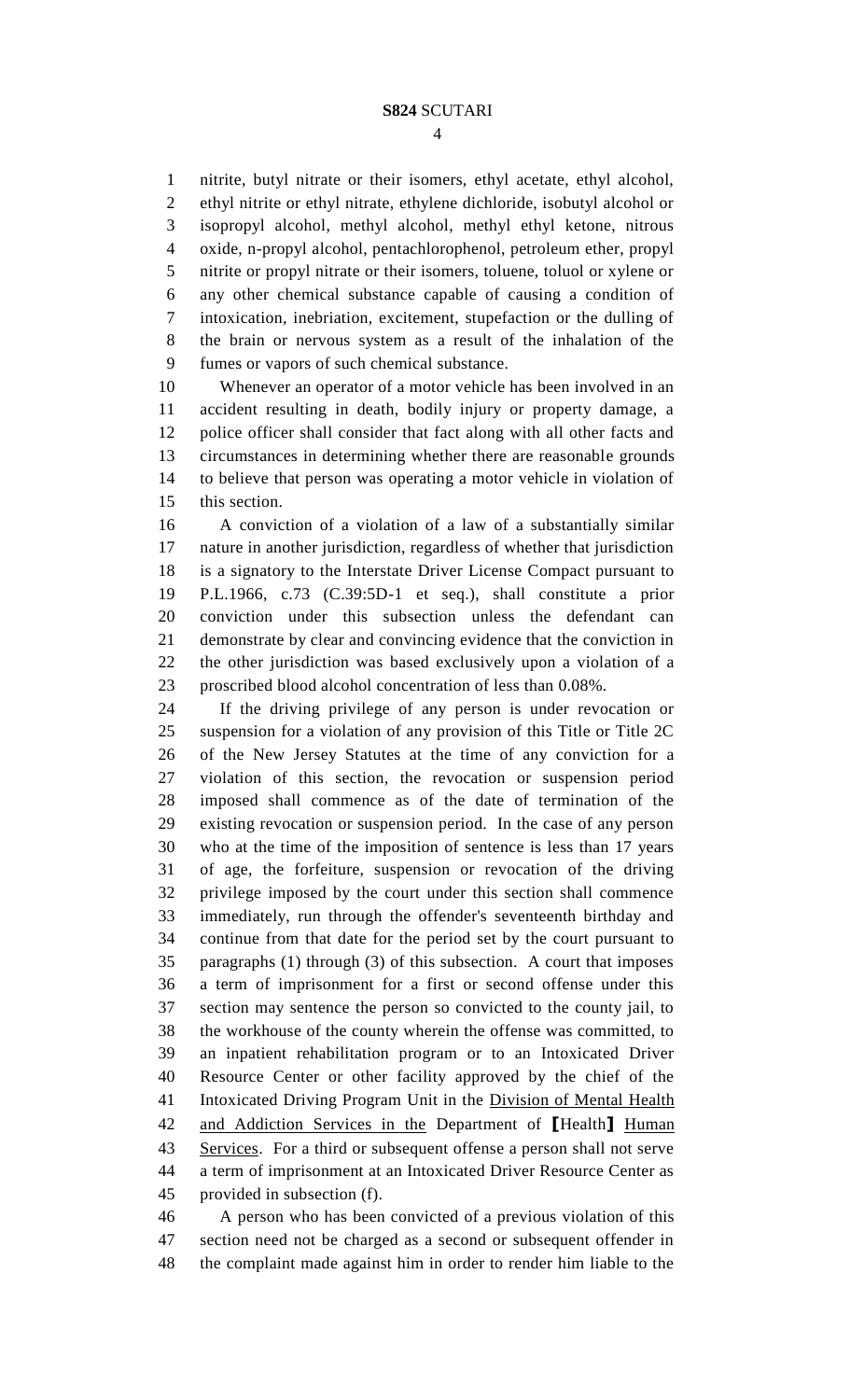nitrite, butyl nitrate or their isomers, ethyl acetate, ethyl alcohol, ethyl nitrite or ethyl nitrate, ethylene dichloride, isobutyl alcohol or isopropyl alcohol, methyl alcohol, methyl ethyl ketone, nitrous oxide, n-propyl alcohol, pentachlorophenol, petroleum ether, propyl nitrite or propyl nitrate or their isomers, toluene, toluol or xylene or any other chemical substance capable of causing a condition of intoxication, inebriation, excitement, stupefaction or the dulling of the brain or nervous system as a result of the inhalation of the fumes or vapors of such chemical substance.

 Whenever an operator of a motor vehicle has been involved in an accident resulting in death, bodily injury or property damage, a police officer shall consider that fact along with all other facts and circumstances in determining whether there are reasonable grounds to believe that person was operating a motor vehicle in violation of this section.

 A conviction of a violation of a law of a substantially similar nature in another jurisdiction, regardless of whether that jurisdiction is a signatory to the Interstate Driver License Compact pursuant to P.L.1966, c.73 (C.39:5D-1 et seq.), shall constitute a prior conviction under this subsection unless the defendant can demonstrate by clear and convincing evidence that the conviction in the other jurisdiction was based exclusively upon a violation of a proscribed blood alcohol concentration of less than 0.08%.

 If the driving privilege of any person is under revocation or suspension for a violation of any provision of this Title or Title 2C of the New Jersey Statutes at the time of any conviction for a violation of this section, the revocation or suspension period imposed shall commence as of the date of termination of the existing revocation or suspension period. In the case of any person who at the time of the imposition of sentence is less than 17 years of age, the forfeiture, suspension or revocation of the driving privilege imposed by the court under this section shall commence immediately, run through the offender's seventeenth birthday and continue from that date for the period set by the court pursuant to paragraphs (1) through (3) of this subsection. A court that imposes a term of imprisonment for a first or second offense under this section may sentence the person so convicted to the county jail, to the workhouse of the county wherein the offense was committed, to an inpatient rehabilitation program or to an Intoxicated Driver Resource Center or other facility approved by the chief of the 41 Intoxicated Driving Program Unit in the Division of Mental Health and Addiction Services in the Department of **[**Health**]** Human Services. For a third or subsequent offense a person shall not serve a term of imprisonment at an Intoxicated Driver Resource Center as provided in subsection (f).

 A person who has been convicted of a previous violation of this section need not be charged as a second or subsequent offender in the complaint made against him in order to render him liable to the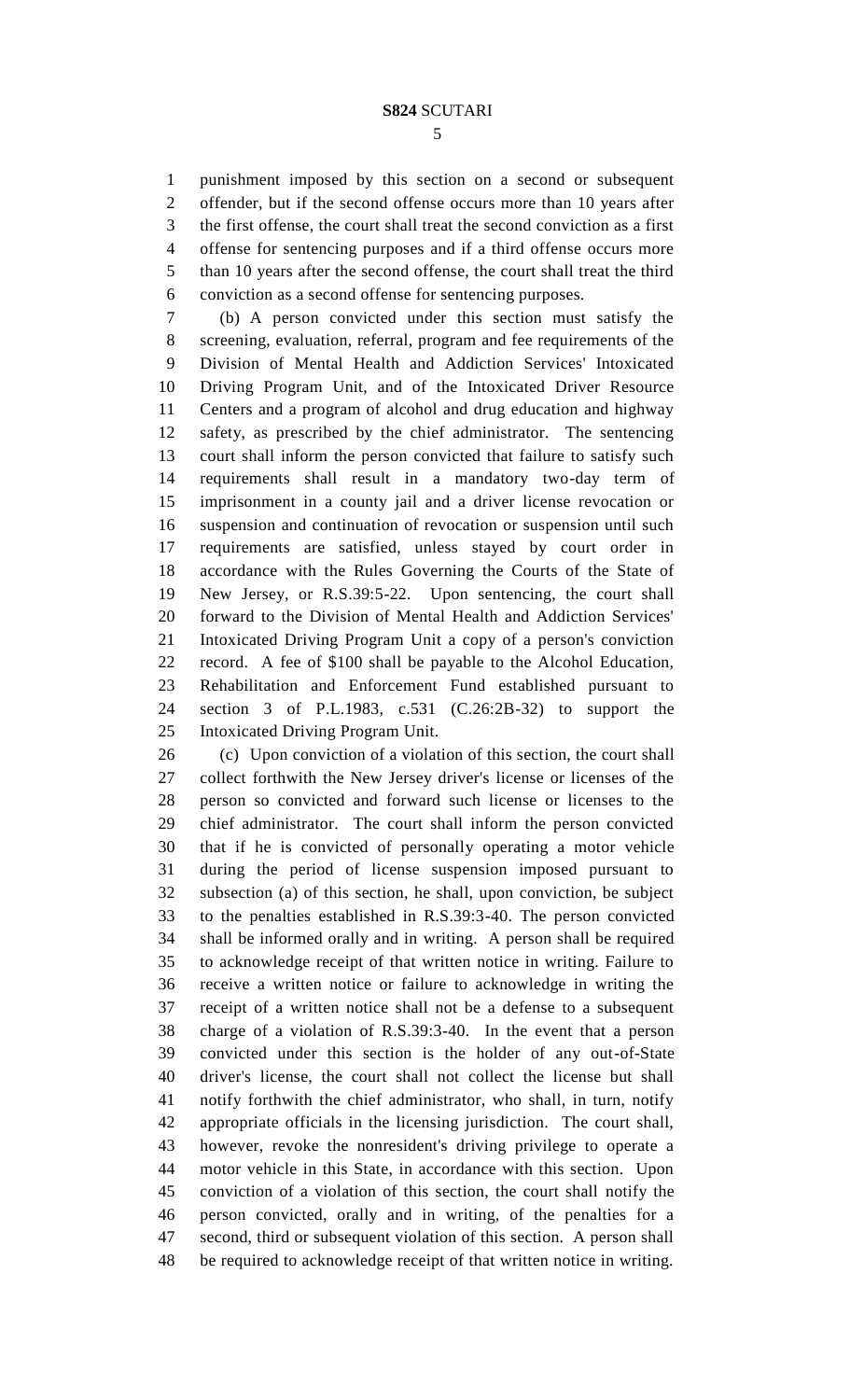punishment imposed by this section on a second or subsequent offender, but if the second offense occurs more than 10 years after the first offense, the court shall treat the second conviction as a first offense for sentencing purposes and if a third offense occurs more than 10 years after the second offense, the court shall treat the third conviction as a second offense for sentencing purposes.

 (b) A person convicted under this section must satisfy the screening, evaluation, referral, program and fee requirements of the Division of Mental Health and Addiction Services' Intoxicated Driving Program Unit, and of the Intoxicated Driver Resource Centers and a program of alcohol and drug education and highway safety, as prescribed by the chief administrator. The sentencing court shall inform the person convicted that failure to satisfy such requirements shall result in a mandatory two-day term of imprisonment in a county jail and a driver license revocation or suspension and continuation of revocation or suspension until such requirements are satisfied, unless stayed by court order in accordance with the Rules Governing the Courts of the State of New Jersey, or R.S.39:5-22. Upon sentencing, the court shall forward to the Division of Mental Health and Addiction Services' Intoxicated Driving Program Unit a copy of a person's conviction record. A fee of \$100 shall be payable to the Alcohol Education, Rehabilitation and Enforcement Fund established pursuant to section 3 of P.L.1983, c.531 (C.26:2B-32) to support the Intoxicated Driving Program Unit.

 (c) Upon conviction of a violation of this section, the court shall collect forthwith the New Jersey driver's license or licenses of the person so convicted and forward such license or licenses to the chief administrator. The court shall inform the person convicted that if he is convicted of personally operating a motor vehicle during the period of license suspension imposed pursuant to subsection (a) of this section, he shall, upon conviction, be subject to the penalties established in R.S.39:3-40. The person convicted shall be informed orally and in writing. A person shall be required to acknowledge receipt of that written notice in writing. Failure to receive a written notice or failure to acknowledge in writing the receipt of a written notice shall not be a defense to a subsequent charge of a violation of R.S.39:3-40. In the event that a person convicted under this section is the holder of any out-of-State driver's license, the court shall not collect the license but shall notify forthwith the chief administrator, who shall, in turn, notify appropriate officials in the licensing jurisdiction. The court shall, however, revoke the nonresident's driving privilege to operate a motor vehicle in this State, in accordance with this section. Upon conviction of a violation of this section, the court shall notify the person convicted, orally and in writing, of the penalties for a second, third or subsequent violation of this section. A person shall be required to acknowledge receipt of that written notice in writing.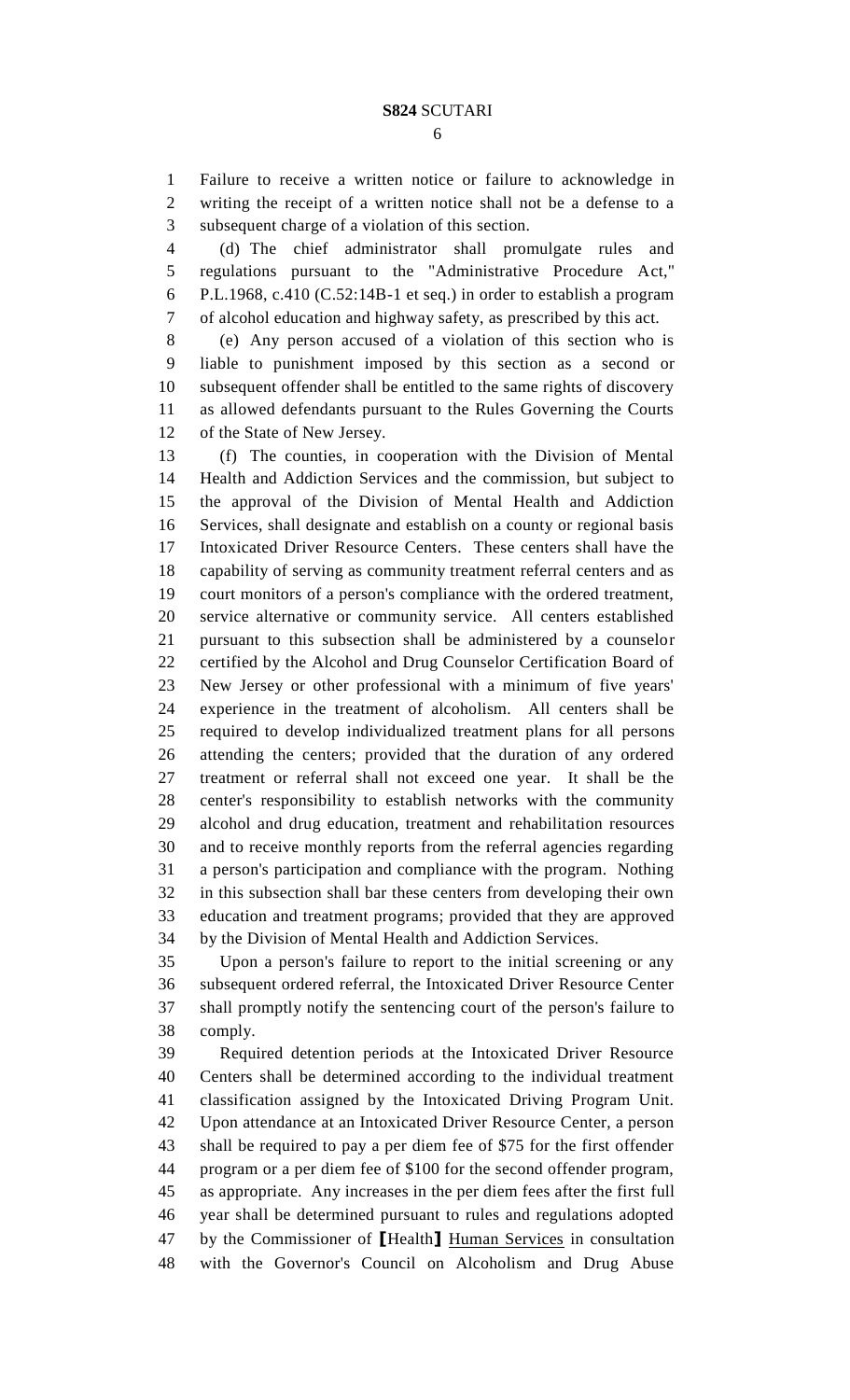Failure to receive a written notice or failure to acknowledge in writing the receipt of a written notice shall not be a defense to a subsequent charge of a violation of this section.

 (d) The chief administrator shall promulgate rules and regulations pursuant to the "Administrative Procedure Act," P.L.1968, c.410 (C.52:14B-1 et seq.) in order to establish a program of alcohol education and highway safety, as prescribed by this act.

 (e) Any person accused of a violation of this section who is liable to punishment imposed by this section as a second or subsequent offender shall be entitled to the same rights of discovery as allowed defendants pursuant to the Rules Governing the Courts of the State of New Jersey.

 (f) The counties, in cooperation with the Division of Mental Health and Addiction Services and the commission, but subject to the approval of the Division of Mental Health and Addiction Services, shall designate and establish on a county or regional basis Intoxicated Driver Resource Centers. These centers shall have the capability of serving as community treatment referral centers and as court monitors of a person's compliance with the ordered treatment, service alternative or community service. All centers established pursuant to this subsection shall be administered by a counselor certified by the Alcohol and Drug Counselor Certification Board of New Jersey or other professional with a minimum of five years' experience in the treatment of alcoholism. All centers shall be required to develop individualized treatment plans for all persons attending the centers; provided that the duration of any ordered treatment or referral shall not exceed one year. It shall be the center's responsibility to establish networks with the community alcohol and drug education, treatment and rehabilitation resources and to receive monthly reports from the referral agencies regarding a person's participation and compliance with the program. Nothing in this subsection shall bar these centers from developing their own education and treatment programs; provided that they are approved by the Division of Mental Health and Addiction Services.

 Upon a person's failure to report to the initial screening or any subsequent ordered referral, the Intoxicated Driver Resource Center shall promptly notify the sentencing court of the person's failure to comply.

 Required detention periods at the Intoxicated Driver Resource Centers shall be determined according to the individual treatment classification assigned by the Intoxicated Driving Program Unit. Upon attendance at an Intoxicated Driver Resource Center, a person shall be required to pay a per diem fee of \$75 for the first offender program or a per diem fee of \$100 for the second offender program, as appropriate. Any increases in the per diem fees after the first full year shall be determined pursuant to rules and regulations adopted by the Commissioner of **[**Health**]** Human Services in consultation with the Governor's Council on Alcoholism and Drug Abuse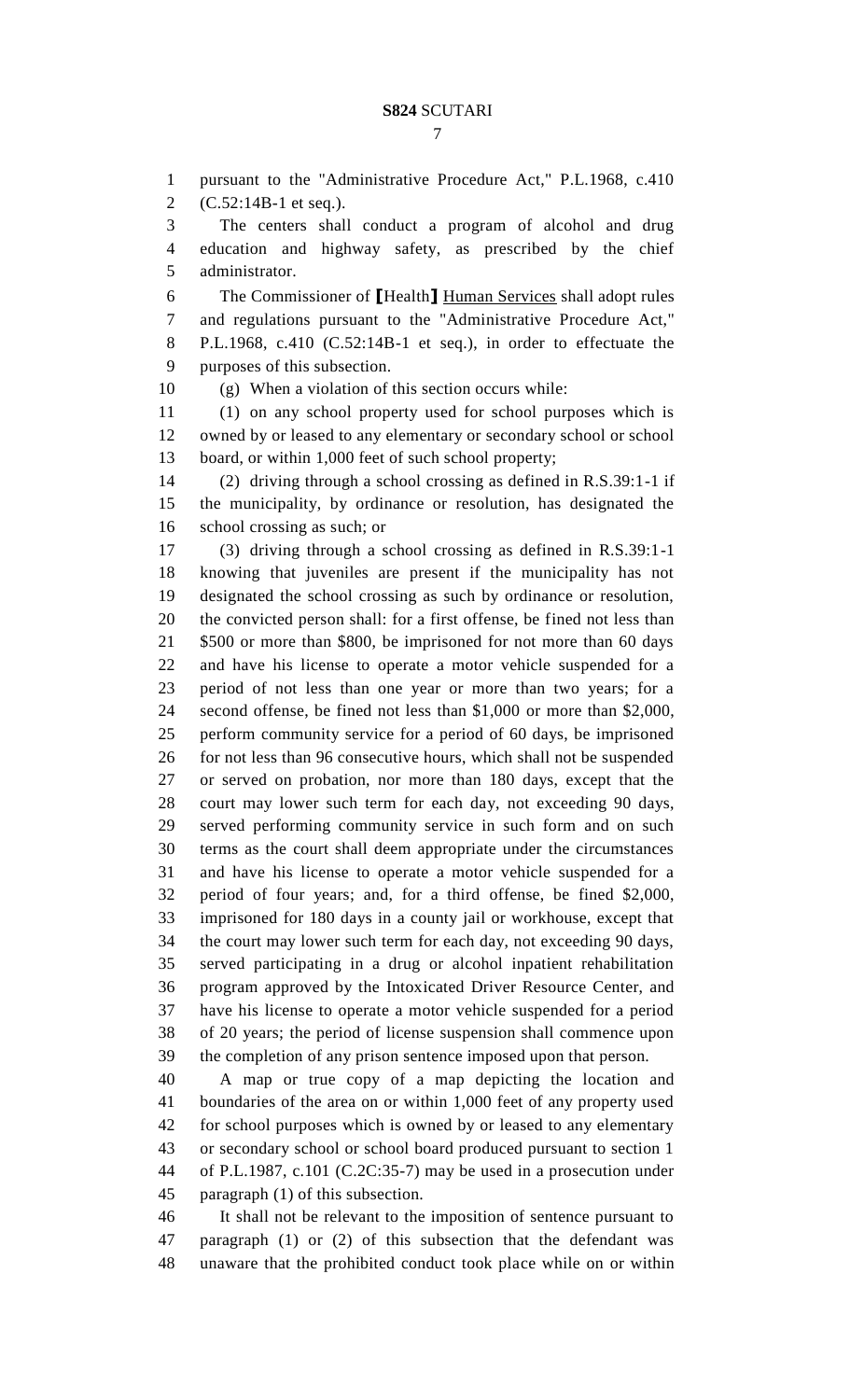pursuant to the "Administrative Procedure Act," P.L.1968, c.410 (C.52:14B-1 et seq.).

 The centers shall conduct a program of alcohol and drug education and highway safety, as prescribed by the chief administrator.

 The Commissioner of **[**Health**]** Human Services shall adopt rules and regulations pursuant to the "Administrative Procedure Act," P.L.1968, c.410 (C.52:14B-1 et seq.), in order to effectuate the purposes of this subsection.

(g) When a violation of this section occurs while:

 (1) on any school property used for school purposes which is owned by or leased to any elementary or secondary school or school board, or within 1,000 feet of such school property;

 (2) driving through a school crossing as defined in R.S.39:1-1 if the municipality, by ordinance or resolution, has designated the school crossing as such; or

 (3) driving through a school crossing as defined in R.S.39:1-1 knowing that juveniles are present if the municipality has not designated the school crossing as such by ordinance or resolution, the convicted person shall: for a first offense, be fined not less than \$500 or more than \$800, be imprisoned for not more than 60 days and have his license to operate a motor vehicle suspended for a period of not less than one year or more than two years; for a second offense, be fined not less than \$1,000 or more than \$2,000, perform community service for a period of 60 days, be imprisoned for not less than 96 consecutive hours, which shall not be suspended or served on probation, nor more than 180 days, except that the court may lower such term for each day, not exceeding 90 days, served performing community service in such form and on such terms as the court shall deem appropriate under the circumstances and have his license to operate a motor vehicle suspended for a period of four years; and, for a third offense, be fined \$2,000, imprisoned for 180 days in a county jail or workhouse, except that the court may lower such term for each day, not exceeding 90 days, served participating in a drug or alcohol inpatient rehabilitation program approved by the Intoxicated Driver Resource Center, and have his license to operate a motor vehicle suspended for a period of 20 years; the period of license suspension shall commence upon the completion of any prison sentence imposed upon that person.

 A map or true copy of a map depicting the location and boundaries of the area on or within 1,000 feet of any property used for school purposes which is owned by or leased to any elementary or secondary school or school board produced pursuant to section 1 of P.L.1987, c.101 (C.2C:35-7) may be used in a prosecution under paragraph (1) of this subsection.

 It shall not be relevant to the imposition of sentence pursuant to paragraph (1) or (2) of this subsection that the defendant was unaware that the prohibited conduct took place while on or within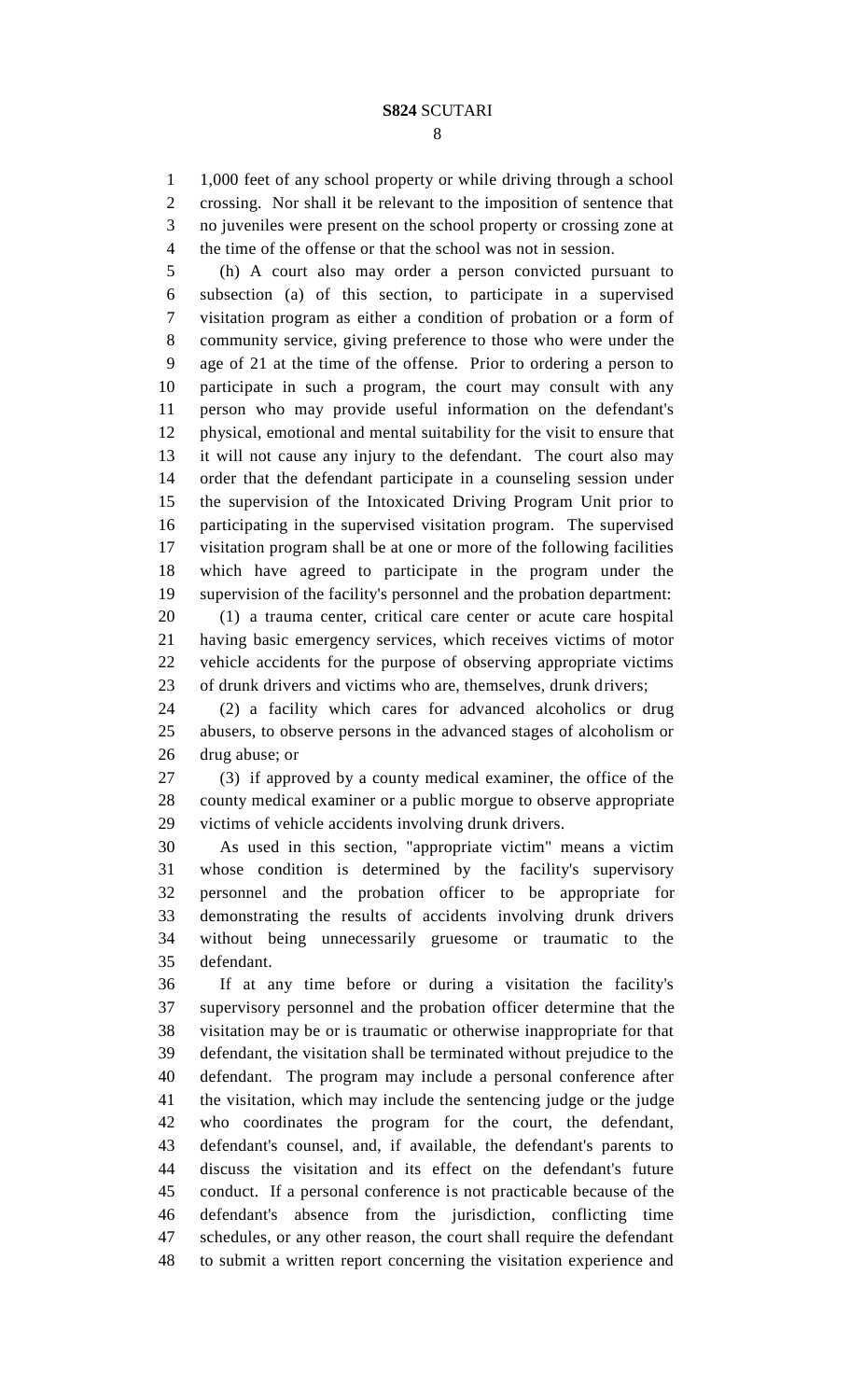1,000 feet of any school property or while driving through a school crossing. Nor shall it be relevant to the imposition of sentence that no juveniles were present on the school property or crossing zone at the time of the offense or that the school was not in session.

 (h) A court also may order a person convicted pursuant to subsection (a) of this section, to participate in a supervised visitation program as either a condition of probation or a form of community service, giving preference to those who were under the age of 21 at the time of the offense. Prior to ordering a person to participate in such a program, the court may consult with any person who may provide useful information on the defendant's physical, emotional and mental suitability for the visit to ensure that it will not cause any injury to the defendant. The court also may order that the defendant participate in a counseling session under the supervision of the Intoxicated Driving Program Unit prior to participating in the supervised visitation program. The supervised visitation program shall be at one or more of the following facilities which have agreed to participate in the program under the supervision of the facility's personnel and the probation department:

 (1) a trauma center, critical care center or acute care hospital having basic emergency services, which receives victims of motor vehicle accidents for the purpose of observing appropriate victims of drunk drivers and victims who are, themselves, drunk drivers;

 (2) a facility which cares for advanced alcoholics or drug abusers, to observe persons in the advanced stages of alcoholism or drug abuse; or

 (3) if approved by a county medical examiner, the office of the county medical examiner or a public morgue to observe appropriate victims of vehicle accidents involving drunk drivers.

 As used in this section, "appropriate victim" means a victim whose condition is determined by the facility's supervisory personnel and the probation officer to be appropriate for demonstrating the results of accidents involving drunk drivers without being unnecessarily gruesome or traumatic to the defendant.

 If at any time before or during a visitation the facility's supervisory personnel and the probation officer determine that the visitation may be or is traumatic or otherwise inappropriate for that defendant, the visitation shall be terminated without prejudice to the defendant. The program may include a personal conference after the visitation, which may include the sentencing judge or the judge who coordinates the program for the court, the defendant, defendant's counsel, and, if available, the defendant's parents to discuss the visitation and its effect on the defendant's future conduct. If a personal conference is not practicable because of the defendant's absence from the jurisdiction, conflicting time schedules, or any other reason, the court shall require the defendant to submit a written report concerning the visitation experience and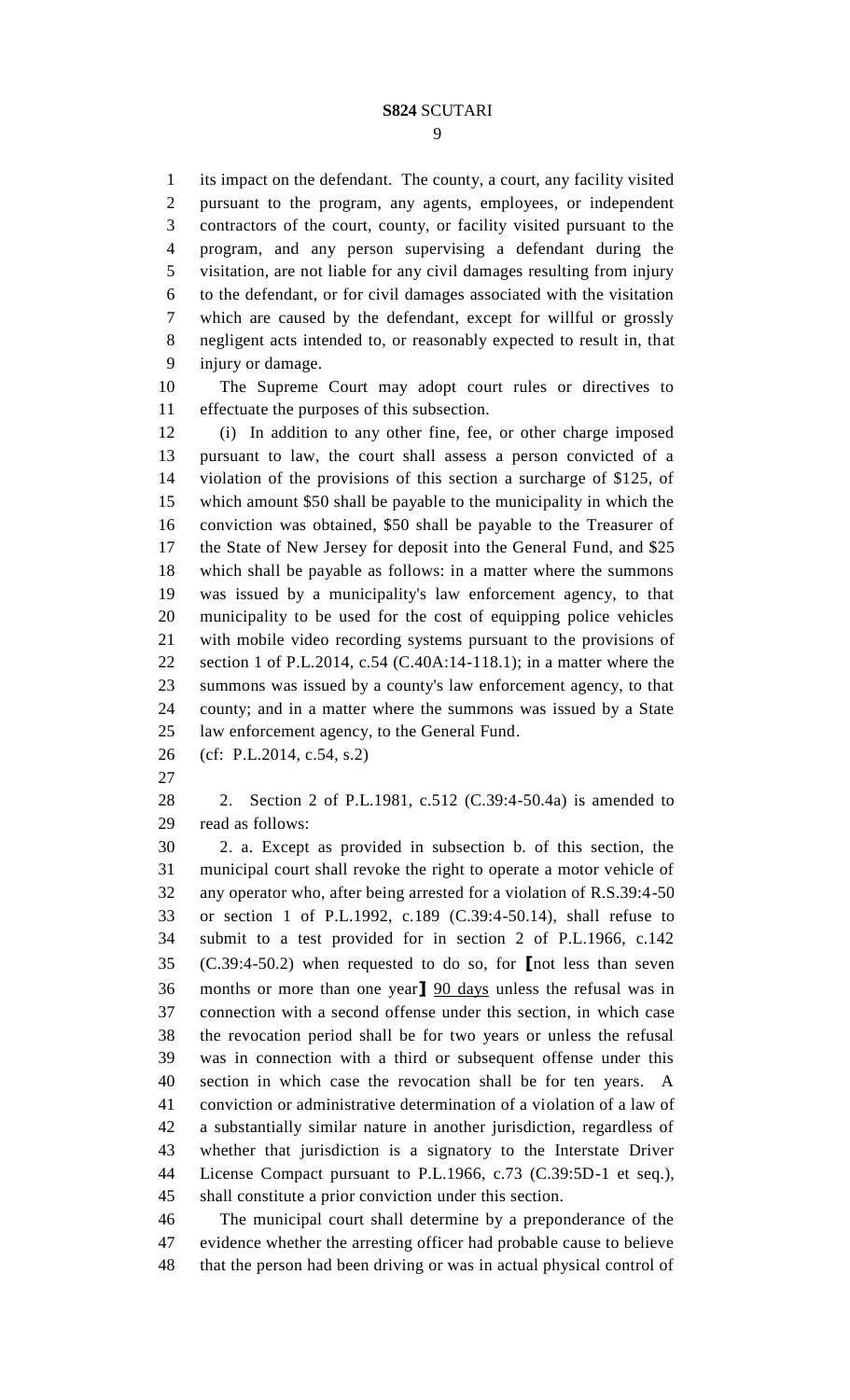its impact on the defendant. The county, a court, any facility visited pursuant to the program, any agents, employees, or independent contractors of the court, county, or facility visited pursuant to the program, and any person supervising a defendant during the visitation, are not liable for any civil damages resulting from injury to the defendant, or for civil damages associated with the visitation which are caused by the defendant, except for willful or grossly negligent acts intended to, or reasonably expected to result in, that injury or damage.

 The Supreme Court may adopt court rules or directives to effectuate the purposes of this subsection.

 (i) In addition to any other fine, fee, or other charge imposed pursuant to law, the court shall assess a person convicted of a violation of the provisions of this section a surcharge of \$125, of which amount \$50 shall be payable to the municipality in which the conviction was obtained, \$50 shall be payable to the Treasurer of the State of New Jersey for deposit into the General Fund, and \$25 which shall be payable as follows: in a matter where the summons was issued by a municipality's law enforcement agency, to that municipality to be used for the cost of equipping police vehicles with mobile video recording systems pursuant to the provisions of section 1 of P.L.2014, c.54 (C.40A:14-118.1); in a matter where the summons was issued by a county's law enforcement agency, to that county; and in a matter where the summons was issued by a State law enforcement agency, to the General Fund.

(cf: P.L.2014, c.54, s.2)

2. Section 2 of P.L.1981, c.512 (C.39:4-50.4a) is amended to

read as follows:

 2. a. Except as provided in subsection b. of this section, the municipal court shall revoke the right to operate a motor vehicle of any operator who, after being arrested for a violation of R.S.39:4-50 or section 1 of P.L.1992, c.189 (C.39:4-50.14), shall refuse to submit to a test provided for in section 2 of P.L.1966, c.142 (C.39:4-50.2) when requested to do so, for **[**not less than seven months or more than one year**]** 90 days unless the refusal was in connection with a second offense under this section, in which case the revocation period shall be for two years or unless the refusal was in connection with a third or subsequent offense under this section in which case the revocation shall be for ten years. A conviction or administrative determination of a violation of a law of a substantially similar nature in another jurisdiction, regardless of whether that jurisdiction is a signatory to the Interstate Driver License Compact pursuant to P.L.1966, c.73 (C.39:5D-1 et seq.), shall constitute a prior conviction under this section.

 The municipal court shall determine by a preponderance of the evidence whether the arresting officer had probable cause to believe that the person had been driving or was in actual physical control of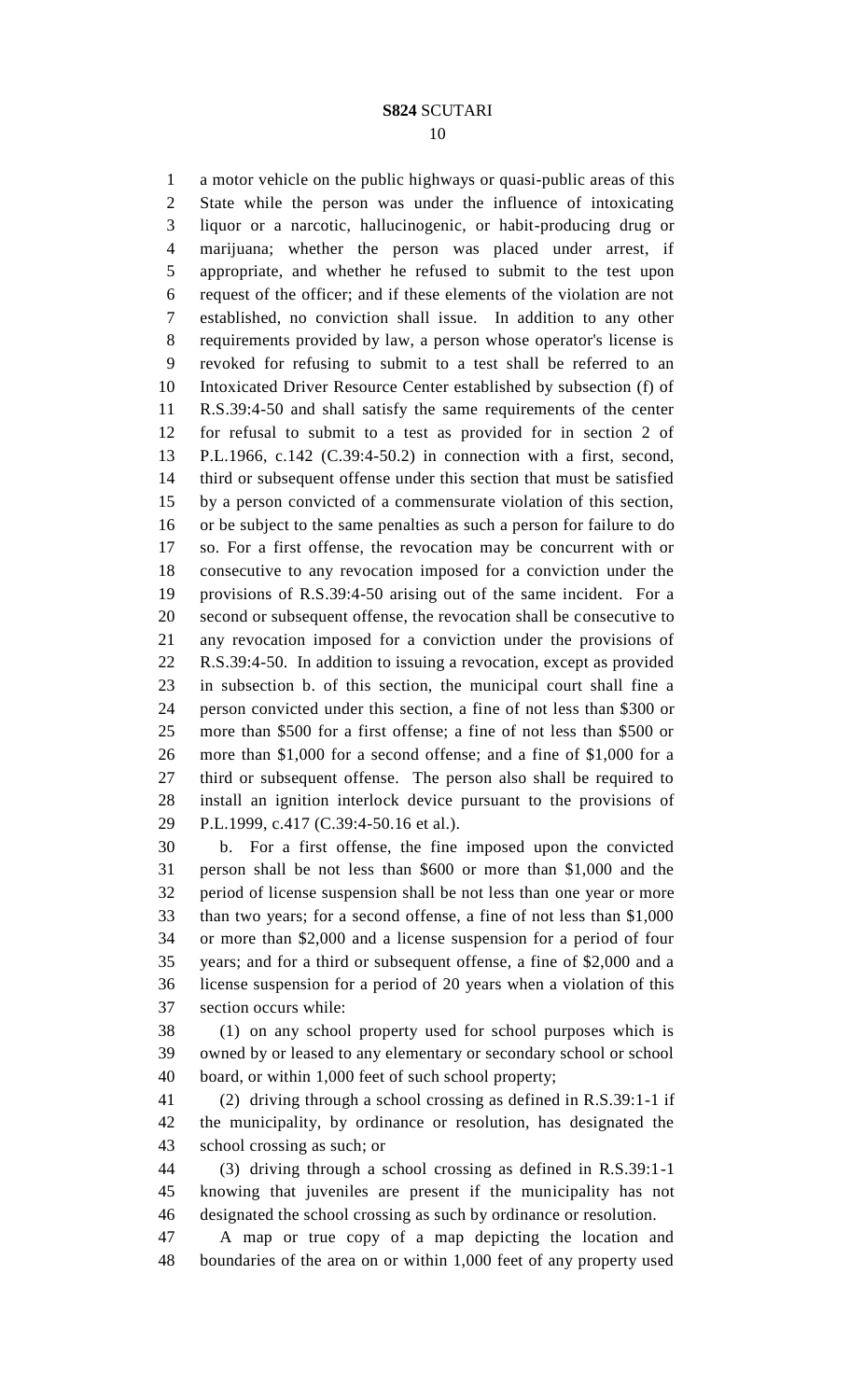a motor vehicle on the public highways or quasi-public areas of this State while the person was under the influence of intoxicating liquor or a narcotic, hallucinogenic, or habit-producing drug or marijuana; whether the person was placed under arrest, if appropriate, and whether he refused to submit to the test upon request of the officer; and if these elements of the violation are not established, no conviction shall issue. In addition to any other requirements provided by law, a person whose operator's license is revoked for refusing to submit to a test shall be referred to an Intoxicated Driver Resource Center established by subsection (f) of R.S.39:4-50 and shall satisfy the same requirements of the center for refusal to submit to a test as provided for in section 2 of P.L.1966, c.142 (C.39:4-50.2) in connection with a first, second, third or subsequent offense under this section that must be satisfied by a person convicted of a commensurate violation of this section, or be subject to the same penalties as such a person for failure to do so. For a first offense, the revocation may be concurrent with or consecutive to any revocation imposed for a conviction under the provisions of R.S.39:4-50 arising out of the same incident. For a second or subsequent offense, the revocation shall be consecutive to any revocation imposed for a conviction under the provisions of R.S.39:4-50. In addition to issuing a revocation, except as provided in subsection b. of this section, the municipal court shall fine a person convicted under this section, a fine of not less than \$300 or more than \$500 for a first offense; a fine of not less than \$500 or more than \$1,000 for a second offense; and a fine of \$1,000 for a third or subsequent offense. The person also shall be required to install an ignition interlock device pursuant to the provisions of P.L.1999, c.417 (C.39:4-50.16 et al.).

 b. For a first offense, the fine imposed upon the convicted person shall be not less than \$600 or more than \$1,000 and the period of license suspension shall be not less than one year or more than two years; for a second offense, a fine of not less than \$1,000 or more than \$2,000 and a license suspension for a period of four years; and for a third or subsequent offense, a fine of \$2,000 and a license suspension for a period of 20 years when a violation of this section occurs while:

 (1) on any school property used for school purposes which is owned by or leased to any elementary or secondary school or school board, or within 1,000 feet of such school property;

 (2) driving through a school crossing as defined in R.S.39:1-1 if the municipality, by ordinance or resolution, has designated the school crossing as such; or

 (3) driving through a school crossing as defined in R.S.39:1-1 knowing that juveniles are present if the municipality has not designated the school crossing as such by ordinance or resolution.

 A map or true copy of a map depicting the location and boundaries of the area on or within 1,000 feet of any property used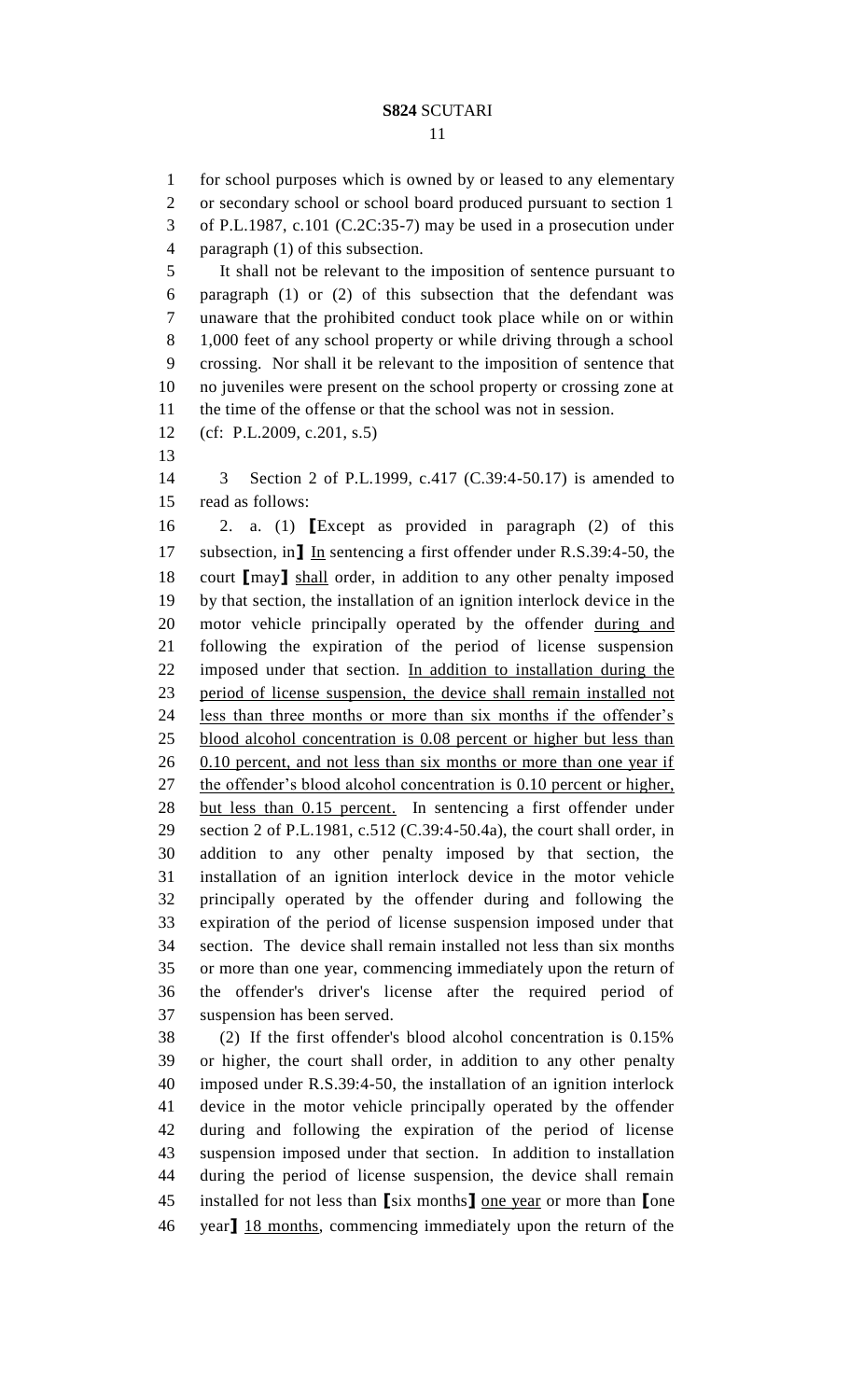### 

 for school purposes which is owned by or leased to any elementary or secondary school or school board produced pursuant to section 1 of P.L.1987, c.101 (C.2C:35-7) may be used in a prosecution under paragraph (1) of this subsection. It shall not be relevant to the imposition of sentence pursuant to paragraph (1) or (2) of this subsection that the defendant was unaware that the prohibited conduct took place while on or within 1,000 feet of any school property or while driving through a school crossing. Nor shall it be relevant to the imposition of sentence that no juveniles were present on the school property or crossing zone at the time of the offense or that the school was not in session. (cf: P.L.2009, c.201, s.5) 3 Section 2 of P.L.1999, c.417 (C.39:4-50.17) is amended to read as follows: 2. a. (1) **[**Except as provided in paragraph (2) of this 17 subsection, in**]** In sentencing a first offender under R.S.39:4-50, the court **[**may**]** shall order, in addition to any other penalty imposed by that section, the installation of an ignition interlock device in the motor vehicle principally operated by the offender during and following the expiration of the period of license suspension imposed under that section. In addition to installation during the period of license suspension, the device shall remain installed not less than three months or more than six months if the offender's blood alcohol concentration is 0.08 percent or higher but less than 26 0.10 percent, and not less than six months or more than one year if 27 the offender's blood alcohol concentration is 0.10 percent or higher, but less than 0.15 percent. In sentencing a first offender under section 2 of P.L.1981, c.512 (C.39:4-50.4a), the court shall order, in addition to any other penalty imposed by that section, the installation of an ignition interlock device in the motor vehicle principally operated by the offender during and following the expiration of the period of license suspension imposed under that section. The device shall remain installed not less than six months or more than one year, commencing immediately upon the return of the offender's driver's license after the required period of suspension has been served. (2) If the first offender's blood alcohol concentration is 0.15% or higher, the court shall order, in addition to any other penalty imposed under R.S.39:4-50, the installation of an ignition interlock device in the motor vehicle principally operated by the offender during and following the expiration of the period of license suspension imposed under that section. In addition to installation during the period of license suspension, the device shall remain installed for not less than **[**six months**]** one year or more than **[**one

year**]** 18 months, commencing immediately upon the return of the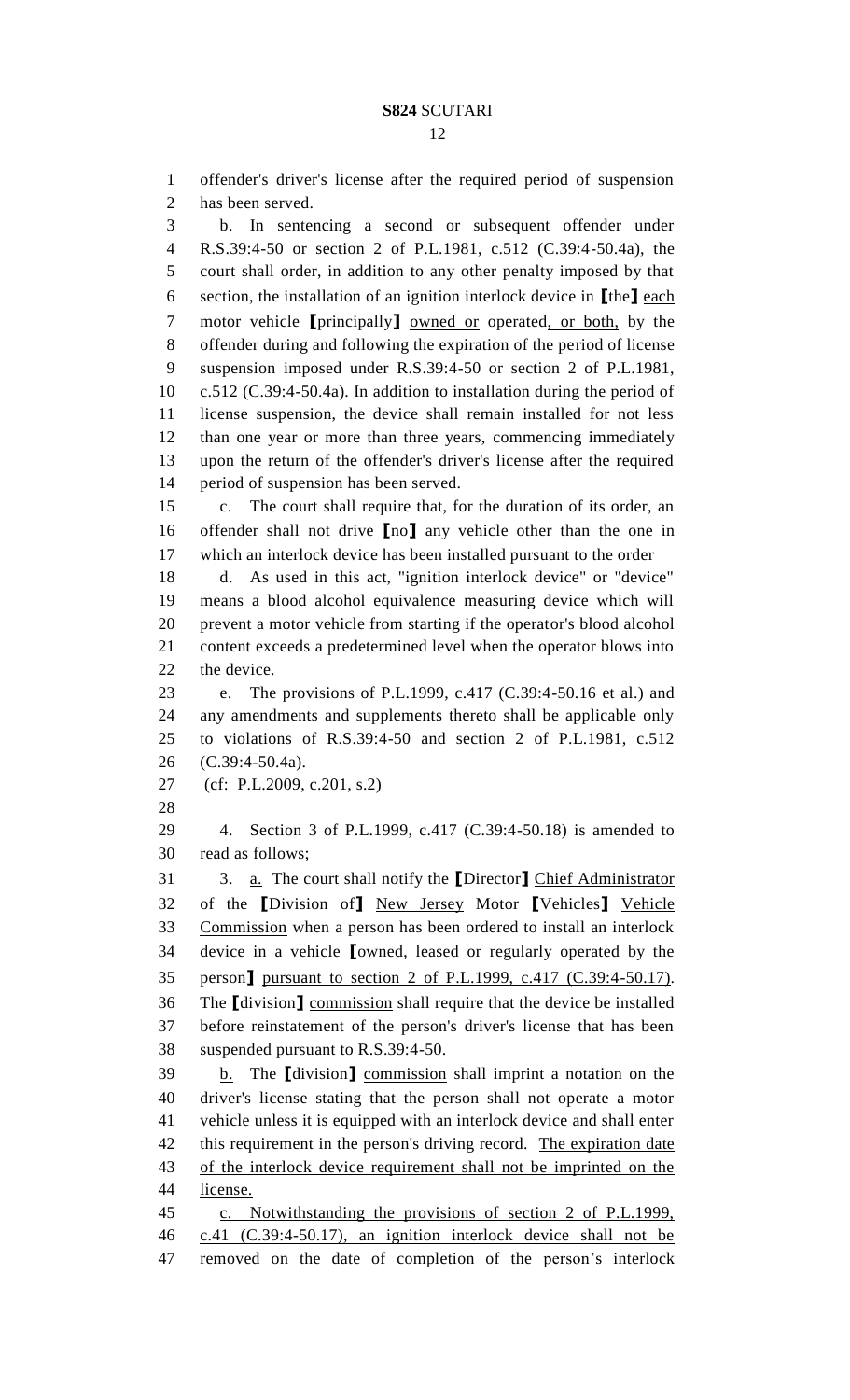| $\mathbf{1}$   | offender's driver's license after the required period of suspension     |
|----------------|-------------------------------------------------------------------------|
| 2              | has been served.                                                        |
| 3              | b. In sentencing a second or subsequent offender under                  |
| $\overline{4}$ | R.S.39:4-50 or section 2 of P.L.1981, c.512 (C.39:4-50.4a), the         |
| 5              | court shall order, in addition to any other penalty imposed by that     |
| 6              | section, the installation of an ignition interlock device in [the] each |
| $\tau$         | motor vehicle <i>[principally]</i> owned or operated, or both, by the   |
| 8              | offender during and following the expiration of the period of license   |
| 9              | suspension imposed under R.S.39:4-50 or section 2 of P.L.1981,          |
| 10             | c.512 (C.39:4-50.4a). In addition to installation during the period of  |
| 11             | license suspension, the device shall remain installed for not less      |
| 12             | than one year or more than three years, commencing immediately          |
| 13             | upon the return of the offender's driver's license after the required   |
| 14             | period of suspension has been served.                                   |
|                |                                                                         |

 c. The court shall require that, for the duration of its order, an offender shall not drive **[**no**]** any vehicle other than the one in which an interlock device has been installed pursuant to the order

 d. As used in this act, "ignition interlock device" or "device" means a blood alcohol equivalence measuring device which will prevent a motor vehicle from starting if the operator's blood alcohol content exceeds a predetermined level when the operator blows into the device.

 e. The provisions of P.L.1999, c.417 (C.39:4-50.16 et al.) and any amendments and supplements thereto shall be applicable only to violations of R.S.39:4-50 and section 2 of P.L.1981, c.512 (C.39:4-50.4a).

```
27 (cf: P.L.2009, c.201, s.2)
```
 4. Section 3 of P.L.1999, c.417 (C.39:4-50.18) is amended to read as follows;

 3. a. The court shall notify the **[**Director**]** Chief Administrator of the **[**Division of**]** New Jersey Motor **[**Vehicles**]** Vehicle Commission when a person has been ordered to install an interlock device in a vehicle **[**owned, leased or regularly operated by the person**]** pursuant to section 2 of P.L.1999, c.417 (C.39:4-50.17). The **[**division**]** commission shall require that the device be installed before reinstatement of the person's driver's license that has been suspended pursuant to R.S.39:4-50.

 b. The **[**division**]** commission shall imprint a notation on the driver's license stating that the person shall not operate a motor vehicle unless it is equipped with an interlock device and shall enter 42 this requirement in the person's driving record. The expiration date of the interlock device requirement shall not be imprinted on the license.

 c. Notwithstanding the provisions of section 2 of P.L.1999, c.41 (C.39:4-50.17), an ignition interlock device shall not be 47 removed on the date of completion of the person's interlock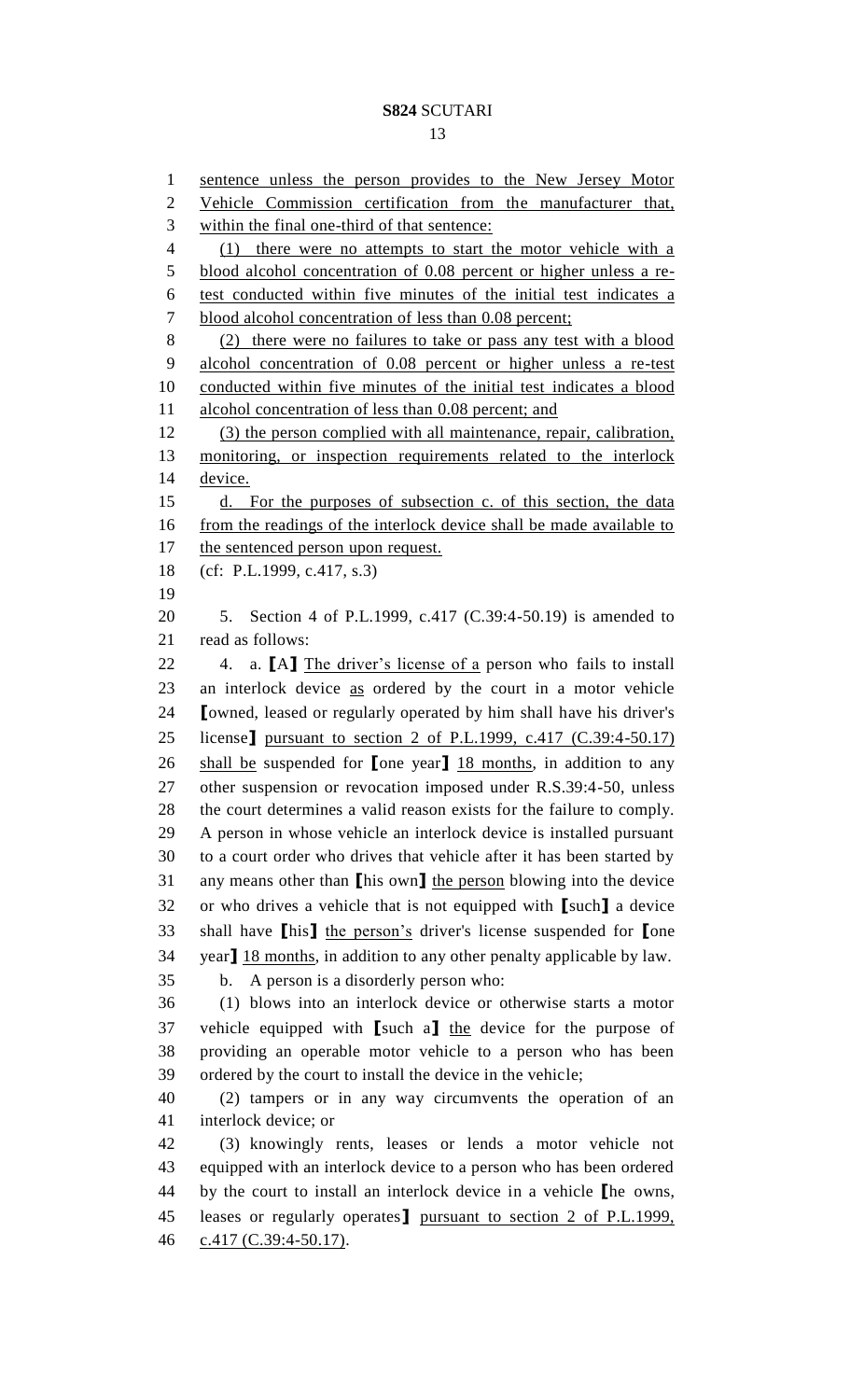#### 

1 sentence unless the person provides to the New Jersey Motor Vehicle Commission certification from the manufacturer that, within the final one-third of that sentence: (1) there were no attempts to start the motor vehicle with a blood alcohol concentration of 0.08 percent or higher unless a re- test conducted within five minutes of the initial test indicates a blood alcohol concentration of less than 0.08 percent; (2) there were no failures to take or pass any test with a blood alcohol concentration of 0.08 percent or higher unless a re-test conducted within five minutes of the initial test indicates a blood 11 alcohol concentration of less than 0.08 percent; and (3) the person complied with all maintenance, repair, calibration, monitoring, or inspection requirements related to the interlock 14 device. d. For the purposes of subsection c. of this section, the data from the readings of the interlock device shall be made available to 17 the sentenced person upon request. (cf: P.L.1999, c.417, s.3) 5. Section 4 of P.L.1999, c.417 (C.39:4-50.19) is amended to read as follows: 4. a. **[**A**]** The driver's license of a person who fails to install an interlock device as ordered by the court in a motor vehicle **[**owned, leased or regularly operated by him shall have his driver's license**]** pursuant to section 2 of P.L.1999, c.417 (C.39:4-50.17) shall be suspended for **[**one year**]** 18 months, in addition to any other suspension or revocation imposed under R.S.39:4-50, unless the court determines a valid reason exists for the failure to comply. A person in whose vehicle an interlock device is installed pursuant to a court order who drives that vehicle after it has been started by any means other than **[**his own**]** the person blowing into the device or who drives a vehicle that is not equipped with **[**such**]** a device shall have **[**his**]** the person's driver's license suspended for **[**one year**]** 18 months, in addition to any other penalty applicable by law. b. A person is a disorderly person who: (1) blows into an interlock device or otherwise starts a motor vehicle equipped with **[**such a**]** the device for the purpose of providing an operable motor vehicle to a person who has been ordered by the court to install the device in the vehicle; (2) tampers or in any way circumvents the operation of an interlock device; or (3) knowingly rents, leases or lends a motor vehicle not equipped with an interlock device to a person who has been ordered by the court to install an interlock device in a vehicle **[**he owns, leases or regularly operates**]** pursuant to section 2 of P.L.1999, c.417 (C.39:4-50.17).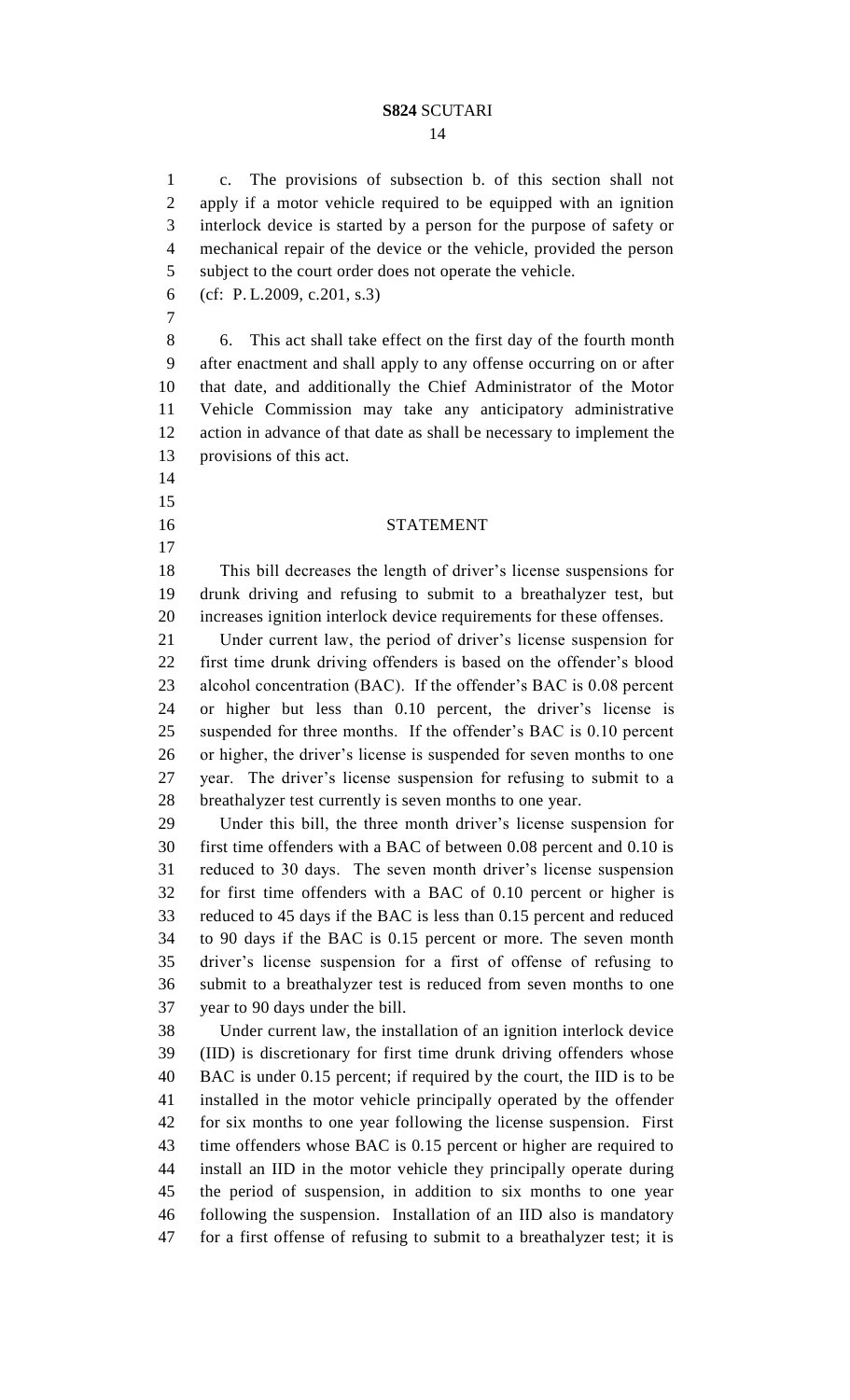c. The provisions of subsection b. of this section shall not apply if a motor vehicle required to be equipped with an ignition interlock device is started by a person for the purpose of safety or mechanical repair of the device or the vehicle, provided the person subject to the court order does not operate the vehicle.

- (cf: P. L.2009, c.201, s.3)
- 

 6. This act shall take effect on the first day of the fourth month after enactment and shall apply to any offense occurring on or after that date, and additionally the Chief Administrator of the Motor Vehicle Commission may take any anticipatory administrative action in advance of that date as shall be necessary to implement the provisions of this act.

- 
- 

### STATEMENT

 This bill decreases the length of driver's license suspensions for drunk driving and refusing to submit to a breathalyzer test, but increases ignition interlock device requirements for these offenses.

 Under current law, the period of driver's license suspension for first time drunk driving offenders is based on the offender's blood alcohol concentration (BAC). If the offender's BAC is 0.08 percent or higher but less than 0.10 percent, the driver's license is suspended for three months. If the offender's BAC is 0.10 percent or higher, the driver's license is suspended for seven months to one year. The driver's license suspension for refusing to submit to a breathalyzer test currently is seven months to one year.

 Under this bill, the three month driver's license suspension for first time offenders with a BAC of between 0.08 percent and 0.10 is reduced to 30 days. The seven month driver's license suspension for first time offenders with a BAC of 0.10 percent or higher is reduced to 45 days if the BAC is less than 0.15 percent and reduced to 90 days if the BAC is 0.15 percent or more. The seven month driver's license suspension for a first of offense of refusing to submit to a breathalyzer test is reduced from seven months to one year to 90 days under the bill.

 Under current law, the installation of an ignition interlock device (IID) is discretionary for first time drunk driving offenders whose BAC is under 0.15 percent; if required by the court, the IID is to be installed in the motor vehicle principally operated by the offender for six months to one year following the license suspension. First time offenders whose BAC is 0.15 percent or higher are required to install an IID in the motor vehicle they principally operate during the period of suspension, in addition to six months to one year following the suspension. Installation of an IID also is mandatory for a first offense of refusing to submit to a breathalyzer test; it is